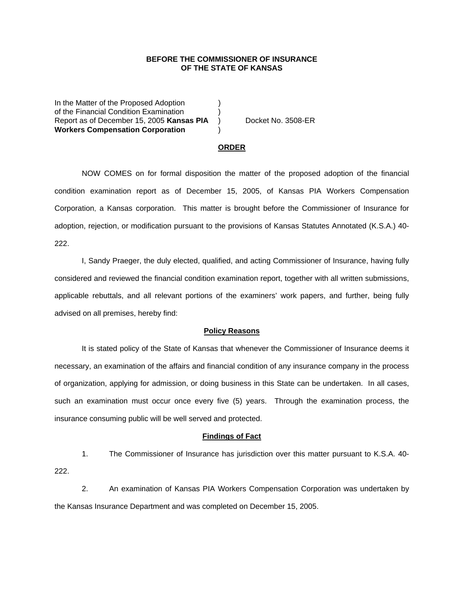## **BEFORE THE COMMISSIONER OF INSURANCE OF THE STATE OF KANSAS**

In the Matter of the Proposed Adoption of the Financial Condition Examination ) Report as of December 15, 2005 Kansas PIA ) Docket No. 3508-ER **Workers Compensation Corporation** )

#### **ORDER**

 NOW COMES on for formal disposition the matter of the proposed adoption of the financial condition examination report as of December 15, 2005, of Kansas PIA Workers Compensation Corporation, a Kansas corporation. This matter is brought before the Commissioner of Insurance for adoption, rejection, or modification pursuant to the provisions of Kansas Statutes Annotated (K.S.A.) 40- 222.

 I, Sandy Praeger, the duly elected, qualified, and acting Commissioner of Insurance, having fully considered and reviewed the financial condition examination report, together with all written submissions, applicable rebuttals, and all relevant portions of the examiners' work papers, and further, being fully advised on all premises, hereby find:

### **Policy Reasons**

 It is stated policy of the State of Kansas that whenever the Commissioner of Insurance deems it necessary, an examination of the affairs and financial condition of any insurance company in the process of organization, applying for admission, or doing business in this State can be undertaken. In all cases, such an examination must occur once every five (5) years. Through the examination process, the insurance consuming public will be well served and protected.

#### **Findings of Fact**

 1. The Commissioner of Insurance has jurisdiction over this matter pursuant to K.S.A. 40- 222.

 2. An examination of Kansas PIA Workers Compensation Corporation was undertaken by the Kansas Insurance Department and was completed on December 15, 2005.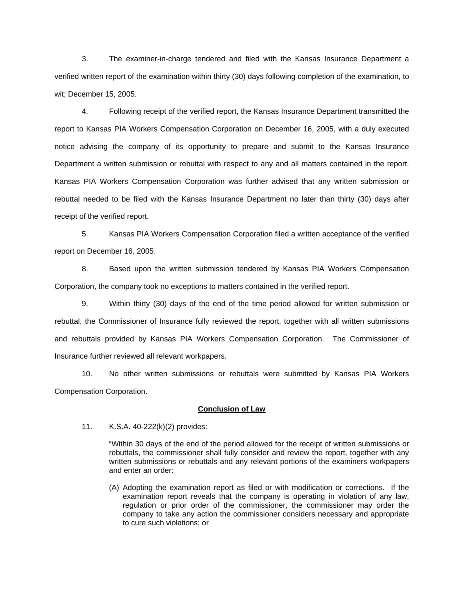3. The examiner-in-charge tendered and filed with the Kansas Insurance Department a verified written report of the examination within thirty (30) days following completion of the examination, to wit; December 15, 2005.

 4. Following receipt of the verified report, the Kansas Insurance Department transmitted the report to Kansas PIA Workers Compensation Corporation on December 16, 2005, with a duly executed notice advising the company of its opportunity to prepare and submit to the Kansas Insurance Department a written submission or rebuttal with respect to any and all matters contained in the report. Kansas PIA Workers Compensation Corporation was further advised that any written submission or rebuttal needed to be filed with the Kansas Insurance Department no later than thirty (30) days after receipt of the verified report.

 5. Kansas PIA Workers Compensation Corporation filed a written acceptance of the verified report on December 16, 2005.

8. Based upon the written submission tendered by Kansas PIA Workers Compensation Corporation, the company took no exceptions to matters contained in the verified report.

 9. Within thirty (30) days of the end of the time period allowed for written submission or rebuttal, the Commissioner of Insurance fully reviewed the report, together with all written submissions and rebuttals provided by Kansas PIA Workers Compensation Corporation. The Commissioner of Insurance further reviewed all relevant workpapers.

 10. No other written submissions or rebuttals were submitted by Kansas PIA Workers Compensation Corporation.

## **Conclusion of Law**

11. K.S.A. 40-222(k)(2) provides:

"Within 30 days of the end of the period allowed for the receipt of written submissions or rebuttals, the commissioner shall fully consider and review the report, together with any written submissions or rebuttals and any relevant portions of the examiners workpapers and enter an order:

(A) Adopting the examination report as filed or with modification or corrections. If the examination report reveals that the company is operating in violation of any law, regulation or prior order of the commissioner, the commissioner may order the company to take any action the commissioner considers necessary and appropriate to cure such violations; or